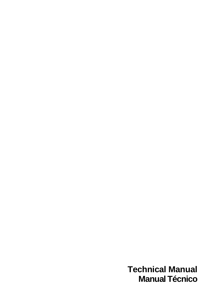**Technical Manual Manual Técnico**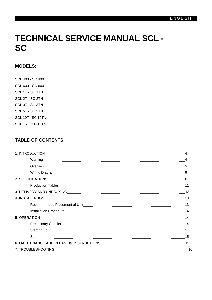# **TECHNICAL SERVICE MANUAL SCL - SC**

# **MODELS:**

SCL 400 - SC 400 SCL 600 - SC 600 SCL 1T - SC 1TN SCL 2T - SC 2TN SCL 3T - SC 3TN SCL 5T - SC 5TN SCL 10T - SC 10TN SCL 15T - SC 15TN

# **TABLE OF CONTENTS**

| Overview 15                                                                                                    |  |
|----------------------------------------------------------------------------------------------------------------|--|
|                                                                                                                |  |
|                                                                                                                |  |
|                                                                                                                |  |
| 3. DELIVERY AND UNPACKING MARKET AND THE RESERVE TO A 23 AM AND THE RESERVE TO A 24 AM AND THE RESERVE TO A 24 |  |
|                                                                                                                |  |
|                                                                                                                |  |
|                                                                                                                |  |
| 5. OPERATION 14                                                                                                |  |
|                                                                                                                |  |
|                                                                                                                |  |
|                                                                                                                |  |
|                                                                                                                |  |
|                                                                                                                |  |
|                                                                                                                |  |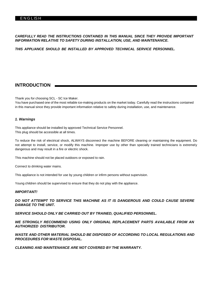#### *CAREFULLY READ THE INSTRUCTIONS CONTAINED IN THIS MANUAL SINCE THEY PROVIDE IMPORTANT INFORMATION RELATIVE TO SAFETY DURING INSTALLATION, USE, AND MAINTENANCE.*

*THIS APPLIANCE SHOULD BE INSTALLED BY APPROVED TECHNICAL SERVICE PERSONNEL.*

# **INTRODUCTION**

Thank you for choosing SCL - SC Ice Maker.

You have purchased one of the most reliable ice-making products on the market today. Carefully read the instructions contained in this manual since they provide important information relative to safety during installation, use, and maintenance.

#### *1. Warnings*

This appliance should be installed by approved Technical Service Personnel. This plug should be accessible at all times.

To reduce the risk of electrical shock, ALWAYS disconnect the machine BEFORE cleaning or maintaining the equipment. Do not attempt to install, service, or modify this machine. Improper use by other than specially trained technicians is extremely dangerous and may result in a fire or electric shock.

This machine should not be placed outdoors or exposed to rain.

Connect to drinking water mains.

This appliance is not intended for use by young children or infirm persons without supervision.

Young children should be supervised to ensure that they do not play with the appliance.

#### *IMPORTANT!*

*DO NOT ATTEMPT TO SERVICE THIS MACHINE AS IT IS DANGEROUS AND COULD CAUSE SEVERE DAMAGE TO THE UNIT.*

*SERVICE SHOULD ONLY BE CARRIED OUT BY TRAINED, QUALIFIED PERSONNEL.*

*WE STRONGLY RECOMMEND USING ONLY ORIGINAL REPLACEMENT PARTS AVAILABLE FROM AN AUTHORIZED DISTRIBUTOR.*

*WASTE AND OTHER MATERIAL SHOULD BE DISPOSED OF ACCORDING TO LOCAL REGULATIONS AND PROCEDURES FOR WASTE DISPOSAL.*

*CLEANING AND MAINTENANCE ARE NOT COVERED BY THE WARRANTY.*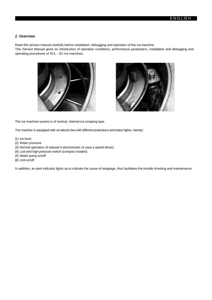#### *2. Overview*

Read this service manual carefully before installation, debugging and operation of this ice machine.

This Service Manual gives an introduction of operation conditions, performance parameters, installation and debugging and operating procedures of SCL - SC ice machines.





The ice machine system is of vertical, internal ice scraping type.

The machine is equipped with an electric box with different protections and status lights, namely:

- (1) Ice level
- (2) Water pressure
- (3) Normal operation of reducer's electromotor (it uses a speed driver)
- (4) Low and high pressure switch (compact models)
- (5) Water pump on/off
- (6) Unit on/off

In addition, an alert indicator lights up to indicate the cause of stoppage, thus facilitates the trouble shooting and maintenance.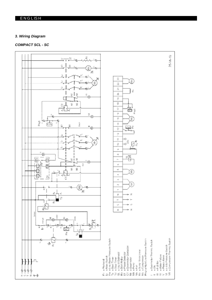# **ENGLISH**

#### *3. Wiring Diagram*

### *COMPACT SCL - SC*

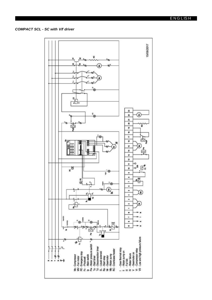#### *COMPACT SCL - SC with V/f driver*

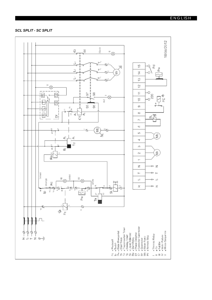**SCL SPLIT - SC SPLIT** 

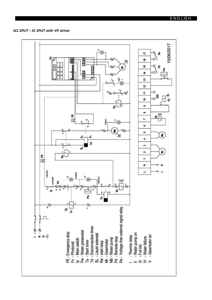### SCL SPLIT - SC SPLIT with V/f driver

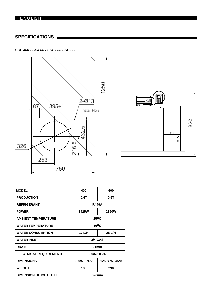# E N G L IS H

# **SPECIFICATIONS**

*SCL 400 - SC4 00 / SCL 600 - SC 600*





| 400               | 600          |  |  |  |
|-------------------|--------------|--|--|--|
| 0.4T              | 0,6T         |  |  |  |
| <b>R449A</b>      |              |  |  |  |
| 1425W             | <b>2350W</b> |  |  |  |
| 25 <sup>o</sup> C |              |  |  |  |
| 16 <sup>o</sup> C |              |  |  |  |
| 17 L/H            | 25 L/H       |  |  |  |
|                   | 3/4 GAS      |  |  |  |
|                   | 21mm         |  |  |  |
| 380/50Hz/3N       |              |  |  |  |
| 1090x700x720      | 1250x750x820 |  |  |  |
| 180               | 290          |  |  |  |
| 326mm             |              |  |  |  |
|                   |              |  |  |  |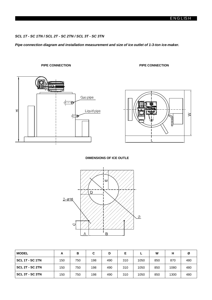#### *SCL 1T - SC 1TN / SCL 2T - SC 2TN / SCL 3T - SC 3TN*

*Pipe connection diagram and installation measurement and size of ice outlet of 1-3-ton ice-maker.*

**PIPE CONNECTION PIPE CONNECTION**





#### **DIMENSIONS OF ICE OUTLE**



| <b>MODEL</b>    | A   | в   | С   | D   | Е   |      | W   |      | Ø   |
|-----------------|-----|-----|-----|-----|-----|------|-----|------|-----|
| SCL 1T - SC 1TN | 150 | 750 | 198 | 490 | 310 | 1050 | 850 | 870  | 480 |
| SCL 2T - SC 2TN | 150 | 750 | 198 | 490 | 310 | 1050 | 850 | 1080 | 480 |
| SCL 3T - SC 3TN | 150 | 750 | 198 | 490 | 310 | 1050 | 850 | 1300 | 480 |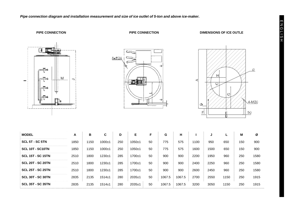*Pipe connection diagram and installation measurement and size of ice outlet of 5-ton and above ice-maker.*

**PIPE CONNECTION PIPE CONNECTION DIMENSIONS OF ICE OUTLE**

M

 $\overline{\phantom{0}}$ 





| <b>MODEL</b>             | A    | в    | C            | D   | Е          | F  | G      | н      |      | J    |      | M   | Ø    |
|--------------------------|------|------|--------------|-----|------------|----|--------|--------|------|------|------|-----|------|
| SCL 5T - SC 5TN          | 1850 | 1150 | $1000+1$     | 250 | $1050+1$   | 50 | 775    | 575    | 1100 | 950  | 650  | 150 | 900  |
| SCL 10T - SC10TN         | 1850 | 1150 | $1000 + 1$   | 250 | $1050+1$   | 50 | 775    | 575    | 1600 | 1500 | 650  | 150 | 900  |
| <b>SCL 15T - SC 15TN</b> | 2510 | 1800 | $1230+1$     | 285 | $1700 + 1$ | 50 | 900    | 900    | 2200 | 1950 | 960  | 250 | 1580 |
| <b>SCL 20T - SC 20TN</b> | 2510 | 1800 | $1230+1$     | 285 | $1700+1$   | 50 | 900    | 900    | 2400 | 2250 | 960  | 250 | 1580 |
| <b>SCL 25T - SC 25TN</b> | 2510 | 1800 | $1230+1$     | 285 | $1700+1$   | 50 | 900    | 900    | 2600 | 2450 | 960  | 250 | 1580 |
| <b>SCL 30T - SC 30TN</b> | 2835 | 2135 | $1514 \pm 1$ | 280 | $2035+1$   | 50 | 1067.5 | 1067.5 | 2700 | 2550 | 1150 | 250 | 1915 |
| <b>SCL 35T - SC 35TN</b> | 2835 | 2135 | $1514 \pm 1$ | 280 | $2035+1$   | 50 | 1067.5 | 1067.5 | 3200 | 3050 | 1150 | 250 | 1915 |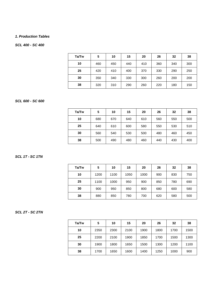#### *1. Production Tables*

#### *SCL 400 - SC 400*

| Ta/Tw | 5   | 10  | 15  | 20  | 26  | 32  | 38  |
|-------|-----|-----|-----|-----|-----|-----|-----|
| 10    | 460 | 450 | 440 | 410 | 360 | 340 | 300 |
| 25    | 420 | 410 | 400 | 370 | 330 | 290 | 250 |
| 30    | 350 | 340 | 330 | 300 | 260 | 200 | 200 |
| 38    | 320 | 310 | 290 | 260 | 220 | 180 | 150 |

#### *SCL 600 - SC 600*

| Ta/Tw | 5   | 10  | 15  | 20  | 26  | 32  | 38  |
|-------|-----|-----|-----|-----|-----|-----|-----|
| 10    | 680 | 670 | 640 | 610 | 560 | 550 | 500 |
| 25    | 640 | 610 | 600 | 580 | 550 | 530 | 510 |
| 30    | 560 | 540 | 530 | 500 | 480 | 460 | 450 |
| 38    | 500 | 490 | 480 | 460 | 440 | 430 | 400 |

#### *SCL 1T - SC 1TN*

| Ta/Tw | 5    | 10   | 15   | 20   | 26  | 32  | 38  |
|-------|------|------|------|------|-----|-----|-----|
| 10    | 1200 | 1100 | 1050 | 1000 | 900 | 830 | 750 |
| 25    | 1100 | 1000 | 950  | 900  | 850 | 780 | 690 |
| 30    | 900  | 950  | 850  | 800  | 680 | 600 | 580 |
| 38    | 880  | 850  | 780  | 700  | 620 | 580 | 500 |

#### *SCL 2T - SC 2TN*

| Ta/Tw | 5    | 10   | 15   | 20   | 26   | 32   | 38   |
|-------|------|------|------|------|------|------|------|
| 10    | 2350 | 2300 | 2100 | 1900 | 1800 | 1700 | 1500 |
| 25    | 2200 | 2100 | 1900 | 1850 | 1700 | 1500 | 1300 |
| 30    | 1900 | 1800 | 1650 | 1500 | 1300 | 1200 | 1100 |
| 38    | 1700 | 1650 | 1600 | 1400 | 1250 | 1000 | 900  |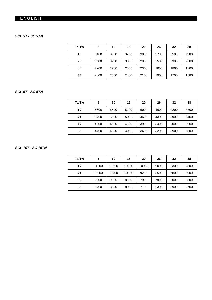# **ENGLISH**

#### *SCL 3T - SC 3TN*

| Ta/Tw | 5    | 10   | 15   | 20   | 26   | 32   | 38   |
|-------|------|------|------|------|------|------|------|
| 10    | 3400 | 3300 | 3200 | 3000 | 2700 | 2500 | 2200 |
| 25    | 3300 | 3200 | 3000 | 2800 | 2500 | 2300 | 2000 |
| 30    | 2900 | 2700 | 2500 | 2300 | 2000 | 1800 | 1700 |
| 38    | 2600 | 2500 | 2400 | 2100 | 1900 | 1700 | 1580 |

#### *SCL 5T - SC 5TN*

| Ta/Tw | 5    | 10   | 15   | 20   | 26   | 32   | 38   |
|-------|------|------|------|------|------|------|------|
| 10    | 5600 | 5500 | 5200 | 5000 | 4600 | 4200 | 3800 |
| 25    | 5400 | 5300 | 5000 | 4600 | 4300 | 3900 | 3400 |
| 30    | 4900 | 4600 | 4300 | 3900 | 3400 | 3000 | 2900 |
| 38    | 4400 | 4300 | 4000 | 3600 | 3200 | 2900 | 2500 |

### *SCL 10T - SC 10TN*

| Ta/Tw | 5     | 10    | 15    | 20    | 26   | 32   | 38   |
|-------|-------|-------|-------|-------|------|------|------|
| 10    | 11500 | 11200 | 10900 | 10000 | 9000 | 8300 | 7500 |
| 25    | 10900 | 10700 | 10000 | 9200  | 8500 | 7800 | 6900 |
| 30    | 9900  | 9000  | 8500  | 7900  | 7800 | 6000 | 5500 |
| 38    | 8700  | 8500  | 8000  | 7100  | 6300 | 5900 | 5700 |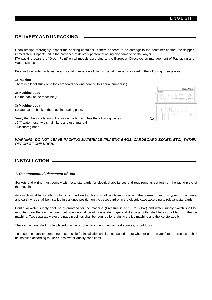# **DELIVERY AND UNPACKING**

Upon receipt, thoroughly inspect the packing container. If there appears to be damage to the container contact the shipper immediately. Unpack unit in the presence of delivery personnel noting any damage on the waybill. ITV packing bears the "Green Point" on all models according to the European Directives on management of Packaging and Waste Disposal.

Be sure to include model name and serial number on all claims. Serial number is located in the following three places:

#### **1) Packing**

There is a label stuck onto the cardboard packing bearing this serial number (1).

#### **2) Machine body**

On the back of the machine (1).

#### **3) Machine body**

Located at the back of the machine, rating plate.

Verify that the installation KIT is inside the bin, and has the following pieces: . 3/4' water hose, two small filters and user manual.

. Dischareg hose.



#### *WARNING: DO NOT LEAVE PACKING MATERIALS (PLASTIC BAGS, CARDBOARD BOXES, ETC.) WITHIN REACH OF CHILDREN.*

# **INSTALLATION**

#### *1. Recommended Placement of Unit*

Sockets and wiring must comply with local standards for electrical appliances and requirements set forth on the rating plate of the machine.

Air switch must be installed within an immediate touch and shall be chose in line with the current of various types of machines, and earth wires shall be installed in assigned position on the baseboard or in the electric case according to relevant standards.

Continual water supply shall be guaranteed for the machine (Pressure is at 1.5 to 6 Bar) and water supply switch shall be mounted near the ice machine. Inlet pipeline shall be of independent type and drainage outlet shall be also not far from the ice machine. Two separate water drainage pipelines shall be required for draining the ice machine and the ice storage bin.

The ice machine shall not be placed in an airproof environment, next to heat sources, or outdoors.

To ensure ice quality, personnel responsible for installation shall be consulted about whether or not water filter or processor shall be installed according to user's local water-quality conditions.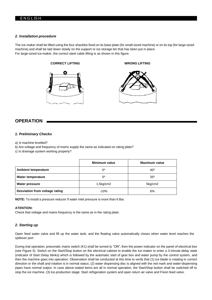#### *2. Installation procedure*

The ice-maker shall be lifted using the four shackles fixed on its base plate (for small-sized machine) or on its top (for large-sized machine) and shall be laid down slowly on the support or ice storage bin that has been put in place. For large-sized ice-maker, the correct steel cable lifting is as shown in this figure.



# **OPERATION**

#### *1. Preliminary Checks*

a) Is machine levelled?

- b) Are voltage and frequency of mains supply the same as indicated on rating plate?
- c) Is drainage system working properly?

|                                | Minimum value | <b>Maximum value</b> |
|--------------------------------|---------------|----------------------|
| <b>Ambient temperature</b>     | $5^\circ$     | 40°                  |
| Water temperature              | $5^\circ$     | $35^\circ$           |
| <b>Water pressure</b>          | 1,5kg/cm2     | 5kg/cm2              |
| Desviation from voltage rating | $-10%$        | 6%                   |

**NOTE:** To install a pressure reducer If water inlet pressure is more than 6 Bar.

#### **ATENTION:**

Check that voltage and mains frequency is the same as in the rating plate.

#### *2. Starting up*

Open feed water valve and fill up the water tank, and the floating valve automatically closes when water level reaches the spillover port.

During trial operation, pneumatic mains switch (K1) shall be turned to "ON", then the power indicator on the panel of electrical box (see Figure 5). Switch on the Start/Stop button on the electrical cabinet to enable the ice-maker to enter a 3-minute-delay state (indicator of Start Delay blinks) which is followed by the automatic start of gear box and water pump by the control system, and then the machine goes into operation. Observation shall be conducted at this time to verify that (1) ice blade is rotating in correct direction or the shaft and rotation is in normal status; (2) water dispensing disc is aligned with the red mark and water-dispensing pipes have normal output. In case above-stated items are all in normal operation, the Start/Stop button shall be switched off to stop the ice machine. (3) Ice production stage: Start refrigeration system and open return air valve and Freon feed valve.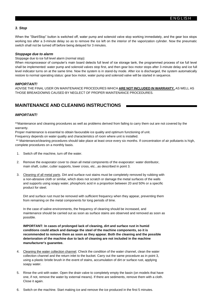#### *3. Stop*

When the "Start/Stop" button is switched off, water pump and solenoid valve stop working immediately, and the gear box stops working too after a 3-minute delay so as to remove the ice left on the interior of the vaporization cylinder. Now the pneumatic switch shall not be turned off before being delayed for 3 minutes.

#### *Stoppage due to alarm*

Stoppage due to ice full level alarm (normal stop):

When microprocessor of computer's main board detects full level of ice storage tank, the programmed process of ice full level shall be implemented: water pump and solenoid valves stop first, and then gear box motor stops after 3-minute delay and ice full level indicator turns on at the same time. Now the system is in stand-by mode. After ice is discharged, the system automatically restore to normal operating status: gear box motor, water pump and solenoid valve will be started in sequence.

#### *IMPORTANT!*

ADVISE THE FINAL USER ON MAINTENANCE PROCEDURES WHICH **ARE NOT INCLUDED IN WARRANTY,** AS WELL AS THOSE BREAKDOWNS CAUSED BY NEGLECT OF PROPER MAINTENANCE PROCEDURES.

# **MAINTENANCE AND CLEANING INSTRUCTIONS**

#### *IMPORTANT!*

\*\*Maintenance and cleaning procedures as well as problems derived from failing to carry them out are not covered by the warranty.

Proper maintenance is essential to obtain favourable ice quality and optimum functioning of unit.

Frequency depends on water quality and characteristics of room where unit is installed.

\*\* Maintenance/cleaning procedures should take place at least once every six months. If concentration of air pollutants is high, complete procedures on a monthly basis.

- 1. Switch off the machine, turn off the water.
- 2. Remove the evaporator cover to clean all metal components of the evaporator: water distributor, main shaft, cutter, cutter supports, lower cross, etc...as described in point 3.
- 3. Cleaning of all metal parts. Dirt and surface rust stains must be completely removed by rubbing with a non-abrasive cloth or similar, which does not scratch or damage the metal surfaces of the walls and supports using soapy water, phosphoric acid in a proportion between 20 and 50% or a specific product for steel.

Dirt and surface rust must be removed with sufficient frequency when they appear, preventing them from remaining on the metal components for long periods of time.

In the case of saline environments, the frequency of cleaning should be increased, and maintenance should be carried out as soon as surface stains are observed and removed as soon as possible.

**IMPORTANT: In cases of prolonged lack of cleaning, dirt and surface rust in humid conditions could attack and damage the steel of the machine components, so it is recommended to remove them as soon as they appear. Both the cleaning and the possible deterioration of the machine due to lack of cleaning are not included in the machine manufacturer's guarantee.**

- 4. Cleaning the water collection channel. Check the condition of the water channel, clean the water collection channel and the return inlet to the bucket. Carry out the same procedure as in point 3, using a plastic bristle brush in the event of stains, accumulation of dirt or surface rust, applying soapy water.
- 5. Rinse the unit with water. Open the drain valve to completely empty the basin (on models that have one, if not, remove the water by external means). If there are sediments, remove them with a cloth. Close it again.
- 6. Switch on the machine. Start making ice and remove the ice produced in the first 5 minutes.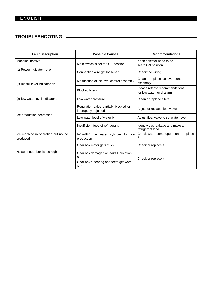# **TROUBLESHOOTING**

| <b>Fault Description</b>                        | <b>Possible Causes</b>                                       | <b>Recommendations</b>                                       |
|-------------------------------------------------|--------------------------------------------------------------|--------------------------------------------------------------|
| Machine inactive                                | Main switch is set to OFF position                           | Knob selector need to be<br>set to ON position               |
| (1) Power indicator not on                      | Connection wire get loosened                                 | Check the wiring                                             |
| (2) Ice full level indicator on                 | Malfunction of ice level control assembly                    | Clean or replace ice level control<br>assembly               |
|                                                 | <b>Blocked filters</b>                                       | Please refer to recommendations<br>for low water level alarm |
| (3) low water level indicator on                | Low water pressure                                           | Clean or replace filters                                     |
| Ice production decreases                        | Regulation valve partially blocked or<br>improperly adjusted | Adjust or replace float valve                                |
|                                                 | Low water level of water bin                                 | Adjust float valve to set water level                        |
|                                                 | Insufficient feed of refrigerant                             | Identify gas leakage and make a<br>refrigerant load          |
| Ice machine in operation but no ice<br>produced | No water<br>in water cylinder for ice<br>production          | Check water pump operation or replace<br>ıt                  |
|                                                 | Gear box motor gets stuck                                    | Check or replace it                                          |
| Noise of gear box is too high                   | Gear box damaged or leaks lubrication<br>oil                 | Check or replace it                                          |
|                                                 | Gear box's bearing and teeth get worn<br>out                 |                                                              |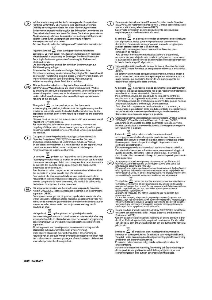In Übereinstimmung mit den Anforderungen der Europäischen<br>Richtlinie 2002/96/EG über Elektro- und Elektronik-Altgeräte  $D$ (WEEE) ist vorliegendes Gerät mit einer Markierung versehen. Sie leisten einen positiven Beitrag für den Schutz der Umwelt und die Gesundheit des Menschen, wenn Sie dieses Gerät einer gesonderten<br>Abfallsammlung zuführen. Im unsortierten Siedlungsmüll könnte ein solches Gerät durch unsachgemäße Entsorgung negative Konsequenzen nach sich ziehen.

Auf dem Produkt oder der beiliegenden Produktdokumentation ist

folgendes Symbol **X** einer durchgestrichenen Abfalltonne<br>abgebildet. Es weist darauf hin, dass eine Entsorgung im normalen<br>Haushaltsabfall nicht zulässig ist Entsorgen Sie dieses Produkt im Recyclinghof mit einer getrennten Sammlung für Elektro- und Elektronikgeräte

Die Entsorgung muss gemäß den örtlichen Bestimmungen zur Abfallbeseitigung erfolgen.

Bitte wenden Sie sich an die zuständigen Behörden Ihrer Gemeindeverwaltung, an den lokalen Recyclinghof für Haushaltsmüll<br>oder an den Händler, bei dem Sie dieses Gerät erworben haben, um weitere Informationen über Behandlung, Verwertung und Wiederverwendung dieses Produkts zu erhalten.

(GB) This appliance is marked according to the European directive<br>2002/96/EC on Waste Electrical and Electronic Equipment (WEEE). By ensuring this product is disposed of correctly, you will help prevent potential negative consequences for the environment and human<br>health, which could otherwise be caused by inappropriate waste handling of this product.

The symbol  $\overline{\mathbb{R}}$  on the product, or on the documents<br>accompanying the product, indicates that this appliance may not be<br>treated as household waste. Instead it shall be handed over to the applicable collection point for the recycling of electrical and electronic equipment

Disposal must be carried out in accordance with local environmental regulations for waste disposal

For more detailed information about treatment, recovery and recycling of this product, please contact your local city office, your<br>household waste disposal service or the shop where you purchased the product

Cet appareil porte le symbole du recyclage conformément à la<br>Directive Européenne 2002/96/CE concernant les Déchets d'Équipements Électriques et Électroniques (DEEE ou WEEE) En procédant correctement à la mise au rebut de cet appareil, vous contribuerez à empêcher toute conséquence nuisible pour l'environnement et la santé de l'homme

> N Le symbole et présent sur l'appareil ou sur la documentation qui l'accompagne indique que ce produit ne peut en aucun cas être traité comme déchet ménager. Il doit par conséquent être remis à un centre de collecte des déchets chargé du recyclage des équipements électriques et électroniques.

Pour la mise au rebut, respectez les normes relatives à l'élimination<br>des déchets en vigueur dans le pays d'installation.

Pour obtenir de plus amples détails au sujet du traitement, de la récupération et du recyclage de cet appareil, veuillez vous adresser au bureau compétent de votre commune, à la société de collecte des<br>déchets ou directement à votre revendeur.

Dit apparaat is voorzien van het merkteken volgens de Europese (NL) Dit apparaat is voor dirzake Afgedankte elektrische en elektronische

nonum *avverse*<br>apparaten (AEEA).<br>Door ervoor te zorgen dat dit product op de juiste manier als afval<br>wordt verwerkt, helpt u mogelijk negatieve consequenties voor het<br>milieu en de menselijke gezondheid te voorkomen de and kunnen worden veroorzaakt door onjuiste verwerking van dit product als afval.

Het symbool (C) op het product of op de bijbehorende<br>documentatie geeft aan dat dit product niet als huishoudelijk afval mag<br>worden behandeld. In plaats daarvan moet het worden afgegeven bij een verzamelpunt voor recycling van elektrische en elektronische

apparaten.<br>Afdanking moet worden uitgevoerd in overeenstemming met de<br>plaatselijke milieuvoorschriften voor afvalverwerking. Voor nadere informatie over de behandeling, terugwinning en

recycling van dit product wordt u verzocht contact op te nemen met het stadskantoor in uw woonplaats, uw afvalophaaldienst of de winkel<br>waar u het product heeft aangeschaft.

 $E$ )

Este aparato lleva el marcado CE en conformidad con la Directiva 2002/96/EC del Parlamento Europeo y del Consejo sobre residuos de<br>aparatos eléctricos y electrónicos (RAEE).<br>La correcta eliminación de este producto evita consecuencias

negativas para el medioambiente y la salud. ⊠

El simbolo  $\stackrel{\star}{=}$  en el producto o en los documentos que se incluyen El símbolo como en el producto o en los documentos que se in<br>con el producto, indica que no se puede tratar como residuo doméstico. Es necesario entregarlo en un punto de recogida para<br>reciclar aparatos eléctricos y electrónicos.<br>Deséchelo con arreglo a las normas medioambientales para

eliminación de residuos. Para obtener información más detallada sobre el tratamiento, recuperación y reciclaje de este producto, póngase en contacto con<br>el ayuntamiento, con el servicio de eliminación de residuos urbanos o la tienda donde adquirió el producto.

 $(P)$ 

Este aparelho está dassificado de acordo com a Directiva Europeia 2002/96/EC sobre Residuos de equipamento eléctrico e electrónico (REEE)

Ao garantir a eliminação adequada deste produto, estará a ajudar a evitar potenciais consequências negativas para o ambiente e para a<br>saúde pública, que poderíam derivar de um manuseamento de desperdicios inadequado deste produto

O simbolo al no produto, ou nos documentos que acompanham<br>o produto, indica que este aparelho não pode receber um tratamento

semelhante ao de um desperdicio doméstico.<br>Pelo contrário, deverá ser depositado no respectivo centro de recolha para a recidagem de equipamento eléctrico e electrónico.<br>A eliminação deverá ser efectuada em conformidade com as normas ambientais locais para a eliminação de desperdicios.

Para obter informações mais detalhadas sobre o tratamento, a<br>recuperação e a reciclagem deste produto, contacte o Departamento na sua localidade, o seu serviço de eliminação de desperdicios domésticos ou a loja onde adquiriu o produto.

Questo apparecchio è contrassegnato in conformità alla Direttiva Europea<br>2002/96/EC, Waste Electrical and Electronic Equipment (WEEE).<br>Assicurandosi che questo prodotto sia smaltito in modo corretto, l'utente contribuisce a prevenire le potenziali conseguenze negative<br>per l'ambiente e la salute.

l' simbolo<br>il simbolo sul prodotto o sulla documentazione di<br>accompagnamento indica che questo prodotto non deve essere trattato come rifiuto domestico ma deve essere consegnato presso l'idoneo punto di raccolta per il riciclaggio di apparecchiature elettriche ed elettroniche.

Disfarsene seguendo le normative locali per lo smaltimento dei rifiuti. Per ulteriori informazioni sul trattamento, recupero e riciclaggio di<br>questo prodotto, contattare l'idoneo ufficio locale, il servizio di raccolta dei rifiuti domestici o il negozio presso il quale il prodotto è stato acquistato.



 $\Box$ 

Αυτή η συσκευή φέρει σήμανση σύμφωνα με την Ευρωπαϊκή<br>οδηγία 2002/96/ΕΕ σχετικά με Απορραπομένα ηλεκτρικά και<br>ηλεκτρονικά εξαρτήματα (WEEE).<br>Εξασφαλίζοντας ότι το προϊόν αυτό απορρίπτεται σωστά, θα βοηθήσετε<br>στην πρόληψη

Το σύμβολο πάνω στο προϊόν, ή στα έγγραφα που συνοδεύουν<br>το προϊόν, υποδεικνύει ότι αυτή η συσκευή δεν μπορεί να θεωρηθεί<br>οικιακό απόρρυμα. Αντί γι αυτό θα πρέπει να παραδόθεί στο καταλληλο<br>σιμείο περισυλλογής για την ανα

απορριμμάτων

απορραματων,<br>Τια πιο λεπτομερείς πληροφορίες σχετικά με την επεξεργασία, την περισωλλογή και την ανακύκλωση αυτού του προϊόντος, παρακαλούμε<br>επικοινωνήστε με το αρμόδιο γραφείο της τοπικής σας αυτοδιοίκησης,<br>την τοπική σα

Denna produkt är märkt enligt EG-direktiv 2002/96/EEC beträffande<br>elektriskt och elektroniskt avfall (Waste Electrical and Electronic<br>Equipment, WEEE)  $(s)$ 

Genom att säkerställa en korrekt kassering av denna produkt bidrar du till att förhindra potentiella, negativa konsekvenser för vår miljö<br>och vår hälsa, som annars kan bli följden om produkten inte hanteras på rätt sätt.

Symbolen alle på produkten, eller i medföljande dokumentation,<br>Indikerar att denna produkt inte får behandlas som vanligt hushålisavfall.<br>Den skall i stället lämnas in på en lämplig uppsamlingsplats för återvinning av elektrisk och elektronisk utrustning.<br>Produkten måste kasseras enligt lokala miljöbestämmelser för

avfallshantering

För mer information om hantering, återvinning och återanvändning av denna produkt, var god kontakta de lokala myndigheterna, ortens<br>sophanteringstjänst eller butiken där produkten inhandlades.

5019 106 00637